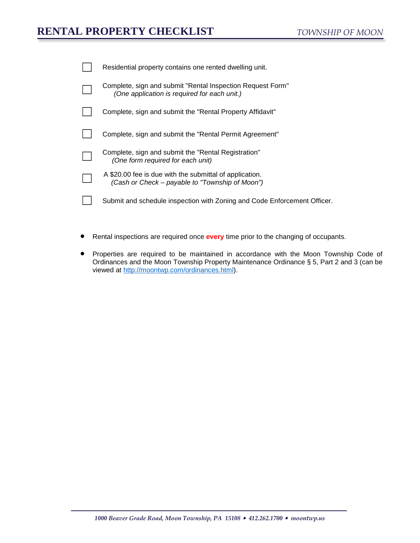## **RENTAL PROPERTY CHECKLIST**

| Residential property contains one rented dwelling unit.                                                    |
|------------------------------------------------------------------------------------------------------------|
| Complete, sign and submit "Rental Inspection Request Form"<br>(One application is required for each unit.) |
| Complete, sign and submit the "Rental Property Affidavit"                                                  |
| Complete, sign and submit the "Rental Permit Agreement"                                                    |
| Complete, sign and submit the "Rental Registration"<br>(One form required for each unit)                   |
| A \$20.00 fee is due with the submittal of application.<br>(Cash or Check – payable to "Township of Moon") |
| Submit and schedule inspection with Zoning and Code Enforcement Officer.                                   |

- Rental inspections are required once **every** time prior to the changing of occupants.
- Properties are required to be maintained in accordance with the Moon Township Code of Ordinances and the Moon Township Property Maintenance Ordinance § 5, Part 2 and 3 (can be viewed at [http://moontwp.com/ordinances.html\)](http://moontwp.com/ordinances.html).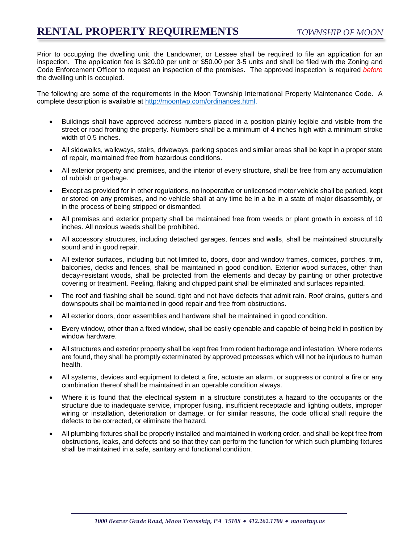Prior to occupying the dwelling unit, the Landowner, or Lessee shall be required to file an application for an inspection. The application fee is \$20.00 per unit or \$50.00 per 3-5 units and shall be filed with the Zoning and Code Enforcement Officer to request an inspection of the premises. The approved inspection is required *before* the dwelling unit is occupied.

The following are some of the requirements in the Moon Township International Property Maintenance Code. A complete description is available at [http://moontwp.com/ordinances.html.](http://moontwp.com/ordinances.html)

- Buildings shall have approved address numbers placed in a position plainly legible and visible from the street or road fronting the property. Numbers shall be a minimum of 4 inches high with a minimum stroke width of 0.5 inches.
- All sidewalks, walkways, stairs, driveways, parking spaces and similar areas shall be kept in a proper state of repair, maintained free from hazardous conditions.
- All exterior property and premises, and the interior of every structure, shall be free from any accumulation of rubbish or garbage.
- Except as provided for in other regulations, no inoperative or unlicensed motor vehicle shall be parked, kept or stored on any premises, and no vehicle shall at any time be in a be in a state of major disassembly, or in the process of being stripped or dismantled.
- All premises and exterior property shall be maintained free from weeds or plant growth in excess of 10 inches. All noxious weeds shall be prohibited.
- All accessory structures, including detached garages, fences and walls, shall be maintained structurally sound and in good repair.
- All exterior surfaces, including but not limited to, doors, door and window frames, cornices, porches, trim, balconies, decks and fences, shall be maintained in good condition. Exterior wood surfaces, other than decay-resistant woods, shall be protected from the elements and decay by painting or other protective covering or treatment. Peeling, flaking and chipped paint shall be eliminated and surfaces repainted.
- The roof and flashing shall be sound, tight and not have defects that admit rain. Roof drains, gutters and downspouts shall be maintained in good repair and free from obstructions.
- All exterior doors, door assemblies and hardware shall be maintained in good condition.
- Every window, other than a fixed window, shall be easily openable and capable of being held in position by window hardware.
- All structures and exterior property shall be kept free from rodent harborage and infestation. Where rodents are found, they shall be promptly exterminated by approved processes which will not be injurious to human health.
- All systems, devices and equipment to detect a fire, actuate an alarm, or suppress or control a fire or any combination thereof shall be maintained in an operable condition always.
- Where it is found that the electrical system in a structure constitutes a hazard to the occupants or the structure due to inadequate service, improper fusing, insufficient receptacle and lighting outlets, improper wiring or installation, deterioration or damage, or for similar reasons, the code official shall require the defects to be corrected, or eliminate the hazard.
- All plumbing fixtures shall be properly installed and maintained in working order, and shall be kept free from obstructions, leaks, and defects and so that they can perform the function for which such plumbing fixtures shall be maintained in a safe, sanitary and functional condition.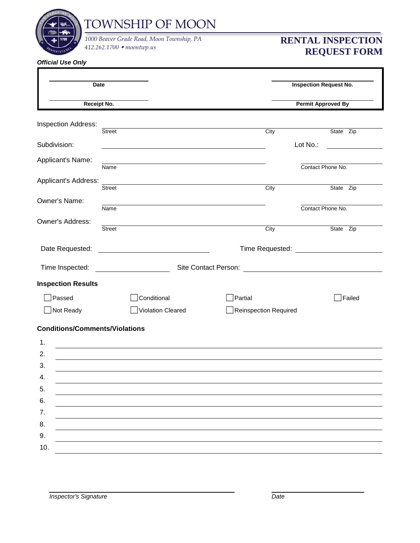

TOWNSHIP OF MOON

*412.262.1700 moontwp.us 1000 Beaver Grade Road, Moon Township, PA* **RENTAL INSPECTION** 

# **REQUEST FORM**

| Date                                  |                                                                                                                                                                                                                                |                                                                                                                                                                                                                                      | <b>Inspection Request No.</b> |           |
|---------------------------------------|--------------------------------------------------------------------------------------------------------------------------------------------------------------------------------------------------------------------------------|--------------------------------------------------------------------------------------------------------------------------------------------------------------------------------------------------------------------------------------|-------------------------------|-----------|
| Receipt No.                           |                                                                                                                                                                                                                                |                                                                                                                                                                                                                                      | <b>Permit Approved By</b>     |           |
| Inspection Address:                   | <b>Street</b>                                                                                                                                                                                                                  |                                                                                                                                                                                                                                      |                               |           |
| Subdivision:                          |                                                                                                                                                                                                                                | City                                                                                                                                                                                                                                 | Lot No.:                      | State Zip |
| Applicant's Name:                     | Name                                                                                                                                                                                                                           |                                                                                                                                                                                                                                      | Contact Phone No.             |           |
| Applicant's Address:                  | <b>Street</b>                                                                                                                                                                                                                  | City                                                                                                                                                                                                                                 |                               | State Zip |
| Owner's Name:                         | Name                                                                                                                                                                                                                           |                                                                                                                                                                                                                                      | Contact Phone No.             |           |
| Owner's Address:                      | <b>Street</b>                                                                                                                                                                                                                  | City                                                                                                                                                                                                                                 |                               | State Zip |
| Date Requested:                       |                                                                                                                                                                                                                                | Time Requested: <u>New York Charles and State and State and State and State and State and State and State and State and State and State and State and State and State and State and State and State and State and State and Stat</u> |                               |           |
| Time Inspected:                       | Site Contact Person: 2008 2009 2010 2010 21:00 21:00 21:00 21:00 21:00 21:00 21:00 21:00 21:00 21:00 21:00 21:00 21:00 21:00 21:00 21:00 21:00 21:00 21:00 21:00 21:00 21:00 21:00 21:00 21:00 21:00 21:00 21:00 21:00 21:00 2 |                                                                                                                                                                                                                                      |                               |           |
| <b>Inspection Results</b>             |                                                                                                                                                                                                                                |                                                                                                                                                                                                                                      |                               |           |
| Passed                                | Conditional                                                                                                                                                                                                                    | Partial                                                                                                                                                                                                                              |                               | Failed    |
| Not Ready                             | Violation Cleared                                                                                                                                                                                                              | <b>Reinspection Required</b>                                                                                                                                                                                                         |                               |           |
| <b>Conditions/Comments/Violations</b> |                                                                                                                                                                                                                                |                                                                                                                                                                                                                                      |                               |           |
| 1.                                    |                                                                                                                                                                                                                                |                                                                                                                                                                                                                                      |                               |           |
| 2.                                    |                                                                                                                                                                                                                                |                                                                                                                                                                                                                                      |                               |           |
| 3.                                    |                                                                                                                                                                                                                                |                                                                                                                                                                                                                                      |                               |           |
| 4.                                    |                                                                                                                                                                                                                                |                                                                                                                                                                                                                                      |                               |           |
| 5.                                    |                                                                                                                                                                                                                                |                                                                                                                                                                                                                                      |                               |           |
| 6.                                    |                                                                                                                                                                                                                                |                                                                                                                                                                                                                                      |                               |           |
| 7.                                    |                                                                                                                                                                                                                                |                                                                                                                                                                                                                                      |                               |           |
| 8.                                    |                                                                                                                                                                                                                                |                                                                                                                                                                                                                                      |                               |           |
| 9.                                    |                                                                                                                                                                                                                                |                                                                                                                                                                                                                                      |                               |           |
| 10.                                   |                                                                                                                                                                                                                                |                                                                                                                                                                                                                                      |                               |           |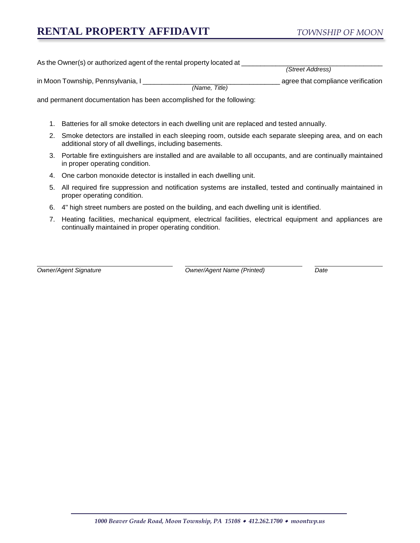## **RENTAL PROPERTY AFFIDAVIT**

As the Owner(s) or authorized agent of the rental property located at

*(Street Address)*

| in Moon Township, Pennsylvania, |                 | agree that compliance verification |
|---------------------------------|-----------------|------------------------------------|
|                                 | Title<br>(Name. |                                    |

and permanent documentation has been accomplished for the following:

- 1. Batteries for all smoke detectors in each dwelling unit are replaced and tested annually.
- 2. Smoke detectors are installed in each sleeping room, outside each separate sleeping area, and on each additional story of all dwellings, including basements.
- 3. Portable fire extinguishers are installed and are available to all occupants, and are continually maintained in proper operating condition.
- 4. One carbon monoxide detector is installed in each dwelling unit.
- 5. All required fire suppression and notification systems are installed, tested and continually maintained in proper operating condition.
- 6. 4" high street numbers are posted on the building, and each dwelling unit is identified.
- 7. Heating facilities, mechanical equipment, electrical facilities, electrical equipment and appliances are continually maintained in proper operating condition.

*Owner/Agent Signature Owner/Agent Name (Printed) Date*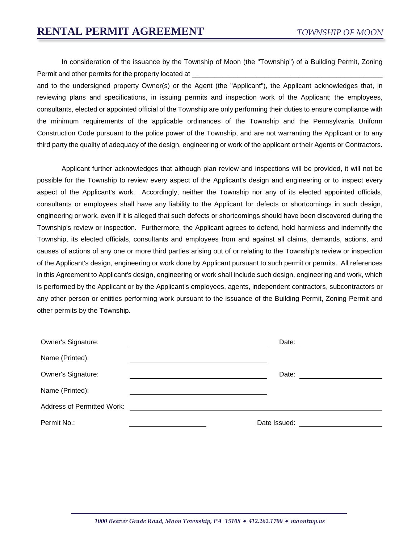In consideration of the issuance by the Township of Moon (the "Township") of a Building Permit, Zoning Permit and other permits for the property located at

and to the undersigned property Owner(s) or the Agent (the "Applicant"), the Applicant acknowledges that, in reviewing plans and specifications, in issuing permits and inspection work of the Applicant; the employees, consultants, elected or appointed official of the Township are only performing their duties to ensure compliance with the minimum requirements of the applicable ordinances of the Township and the Pennsylvania Uniform Construction Code pursuant to the police power of the Township, and are not warranting the Applicant or to any third party the quality of adequacy of the design, engineering or work of the applicant or their Agents or Contractors.

Applicant further acknowledges that although plan review and inspections will be provided, it will not be possible for the Township to review every aspect of the Applicant's design and engineering or to inspect every aspect of the Applicant's work. Accordingly, neither the Township nor any of its elected appointed officials, consultants or employees shall have any liability to the Applicant for defects or shortcomings in such design, engineering or work, even if it is alleged that such defects or shortcomings should have been discovered during the Township's review or inspection. Furthermore, the Applicant agrees to defend, hold harmless and indemnify the Township, its elected officials, consultants and employees from and against all claims, demands, actions, and causes of actions of any one or more third parties arising out of or relating to the Township's review or inspection of the Applicant's design, engineering or work done by Applicant pursuant to such permit or permits. All references in this Agreement to Applicant's design, engineering or work shall include such design, engineering and work, which is performed by the Applicant or by the Applicant's employees, agents, independent contractors, subcontractors or any other person or entities performing work pursuant to the issuance of the Building Permit, Zoning Permit and other permits by the Township.

| Owner's Signature:         |              | Date: |
|----------------------------|--------------|-------|
| Name (Printed):            |              |       |
| <b>Owner's Signature:</b>  |              | Date: |
| Name (Printed):            |              |       |
| Address of Permitted Work: |              |       |
| Permit No.:                | Date Issued: |       |